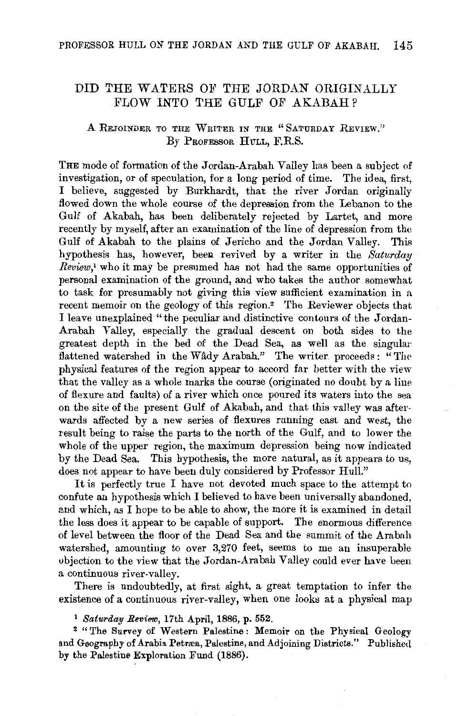## DID THE WATERS OF THE JORDAN ORIGINALLY FLOW INTO THE GULF OF AKABAH?

## A REJOINDER TO THE WRITER IN THE "SATURDAY REVIEW." By PROFESSOR HULL, F.R.S.

THE mode of formation of the Jordan-Arabah Valley has been a subject of investigation, or of speculation, for a long period of time. The idea, first, I believe, suggested by Burkhardt, that the river Jordan originally flowed down the whole course of the depression from the Lebanon to the Gulf of Akabah, has been deliberately rejected by Lartet, and more recently by myself, after an examination of the line of depression from the Gulf of Akabah to the plains of Jericho and the Jordan Valley. This hypothesis has, however, been revived by a writer in the Saturday *Review,'* who it may be presumed has not had the same opportunities of personal examination of the ground, and who takes the author somewhat to task for presumably not giving this view sufficient examination in a recent memoir on the geology of this region.<sup>2</sup> The Reviewer objects that I leave unexplained "the peculiar and distinctive contours of the Jordan-Arahah Valley, especially the gradual descent on both sides to the greatest depth in the bed of the Dead Sea, as well as the singular flattened watershed in the Wâdy Arabah." The writer proceeds: "The physical features of the region appear to accord far better with the view that the valley as a whole marks the course (originated no doubt by a line of flexure and faults) of a river which once poured its waters into the sea on the site of the present Gulf of Akabah, and that this valley was afterwards affected by a new series of flexures running east and west, the result being to raise the parts to the north of the Gulf, and to lower the whole of the upper region, the maximum depression being now indicated by the Dead Sea. This hypothesis, the more natural, as it appears to us, does not appear to have been duly considered by Professor Hull."

It is perfectly true I have not devoted much space to the attempt to confute an hypothesis which I believed to have been universally abandoned, and which, as I hope to be able to show, the more it is examined in detail the less does it appear to be capable of support. The enormous difference of level between the floor of the Dead Sea and the summit of the Arabah watershed, amounting to over 3,270 feet, seems to me an insuperable objection to the view that the Jordan-Arabah Valley could ever have been a continuous river-valley.

There is undoubtedly, at first sight, a great temptation to infer the existence of a continuous river-valley, when one looks at a physical map

<sup>1</sup> Saturday Review, 17th April, 1886, p. 552.<br><sup>2</sup> "The Survey of Western Palestine: Memoir on the Physical Geology and Geography of Arabia Petræa, Palestine, and Adjoining Districts." Published by the Palestine Exploration Fund (1886).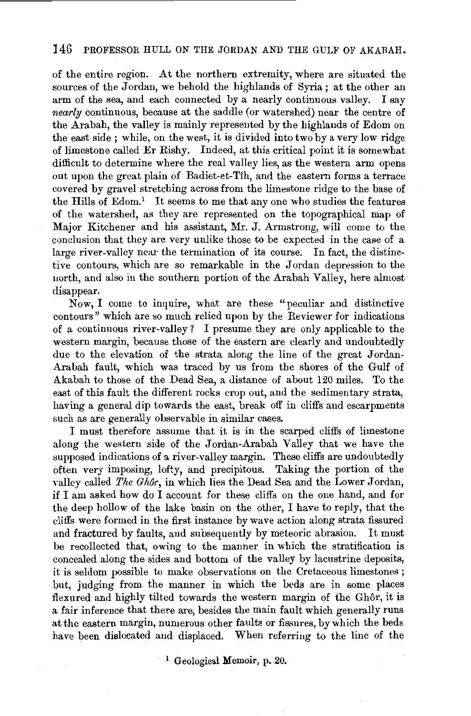## 146 PROFESSOR HULL *ON* THE JORDAN AND THE GULF OF AKABAH.

of the entire region. At the northern extremity, where are situated the sources of the Jordan, we behold the highlands of Syria ; at the other an arm of the sea, and each connected by a nearly continuous valley. I say *nearly* continuous, because at the saddle (or watershed) near the centre of the Arabah, the valley is mainly represented by the highlands of Edom on the east side ; while, on the west, it is divided into two by a very low ridge of limestone called Er Rishy. Indeed, at this critical point it is somewhat difficult to determine where the real valley lies, as the western arm opens out upon the great plain of Badiet-et-Tih, and the eastern forms a terrace covered by gravel stretching across from the limestone ridge to the base of the Hills of Edom.<sup>1</sup> It seems to me that any one who studies the features of the watershed, as they are represented on the topographical map of Major Kitchener and his assistant, Mr. J. Armstrong, will come to the. conclusion that they are very unlike those to be expected in the case of a large river-valley near the termination of its course. In fact, the distinctive contours, which are so remarkable in the Jordan depression to the uorth, and also in the southern portion of the Arabah Valley, here almost disappear.

Now, I come to inquire, what are these "peculiar and distinctive contours" which are so much relied upon by the Reviewer for indications of a continuous river-valley? I presume they are only applicable to the western margin, because those of the eastern are clearly and undoubtedly due to the elevation of the strata along the line of the great Jordan-Arabah fault, which was traced by us from the shores of the Gulf of Akabah to those of the Dead Sea, a distance of about 120 miles. To the east of this fault the different rocks crop out, and the sedimentary strata, having a general dip towards the east, break off in cliffs and escarpments such as are generally observable in similar cases.

I must therefore assume that it is in the scarped cliffs of limestone along the western side of the Jordan-Arabah Valley that we have the supposed indications of a river-valley margin. These cliffs are undoubtedly often very imposing, lofty, and precipitous. Taking the portion of the valley called *The Ghôr*, in which lies the Dead Sea and the Lower Jordan, if I am asked how do I account for these cliffa on the one hand, and for the deep hollow of the lake basin on the other, I have to reply, that the cliffs were formed in the first instance by wave action along strata fissured and fractured by faults, and subsequently by meteoric abrasion. It must be recollected that, owing to the manner in which the stratification is concealed along the sides and bottom of the valley by lacnstrine deposits, it is seldom possible to make observations on the Cretaceous limestones ; but, judging from the manner in which the beds are in some places flexured and highly tilted towards the western margin of the Ghôr, it is a fair inference that there are, besides the main fault which generally runs at the eastern margin, numerous other faults or fissures, by which the beds have been dislocated and displaced. When referriug to the line of the

1 Geological Memoir, p. 20.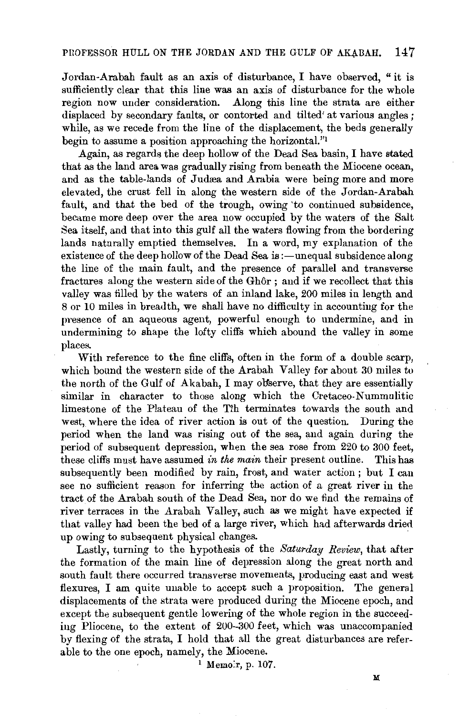Jordan-Arabah fault as an axis of disturbance, I have observed, "it is sufficiently clear that this line was an axis of disturbance for the whole region now under consideration. Along this line the strata are either displaced by secondary faults, or contorted and tilted' at various angles; while, as we recede from the line of the displacement, the beds generally begin to assume a position approaching the horizontal."'

Again, as regards the deep hollow of the Dead Sea basin, I have stated that as the land area was gradually rising from beneath the Miocene ocean, and as the table-lands of Judæa and Arabia were being more and more elevated, the crust fell in along the western side of the Jordan-Arabah fault, and that the bed of the trough, owing 'to continued subsidence, became more deep over the area now occupied by the waters of the Salt :3ea itself, and that into this gulf all the waters flowing from the bordering lands naturally emptied themselves. In a word, my explanation of the existence of the deep hollow of the Dead Sea is :- unequal subsidence along the line of the main fault, and the presence of parallel and transverse fractures along the western side of the Ghor ; and if we recollect that this valley was filled by the waters of an inland lake, 200 miles in length and 8 or 10 miles in breadth, we shall have no difficulty in accounting for the presence of an aqueous agent, powerful enough to undermine, and in undermining to shape the lofty cliffs which abound the valley in some places.

With reference to the fine cliffs, often in the form of a double scarp, which bound the western side of the Arabah Valley for about 30 miles to the north of the Gulf of Akabah, I may observe, that they are essentially similar in character to those along which the Cretaceo-Nummulitic limestone of the Plateau of the Tih terminates towards the south and west, where the idea of river action is out of the question. During the period when the land was rising out of the sea, and again during the period of subsequent depression, when the sea rose from 220 to 300 feet. these cliffs must have assumed *in the main* their present outline. This has subsequently been modified by rain, frost, and water action ; but I can see no sufficient reason for inferring the action of a great river in the tract of the Arabah south of the Dead Sea, nor do we find the remains of river terraces in the Arabah Valley, such as we might have expected if that valley had been the bed of a large river, which had afterwards dried up owing to subsequent physical changes.

Lastly, turning to the hypothesis of the *Saturday Review,* that after the formation of the main line of depression along the great north and south fault there occurred transverse movements, producing east and west fiexures, I am quite unable to accept such a proposition. The general displacements of the strata were produced during the Miocene epoch, and except the subsequent gentle lowering of the whole region in the succeeding Pliocene, to the extent of 200-300 feet, which was unaccompanied by flexing of the strata, I hold that all the great disturbances are referable to the one epoch, namely, the Miocene.<br> $\frac{1}{1}$  Memoir, p. 107.